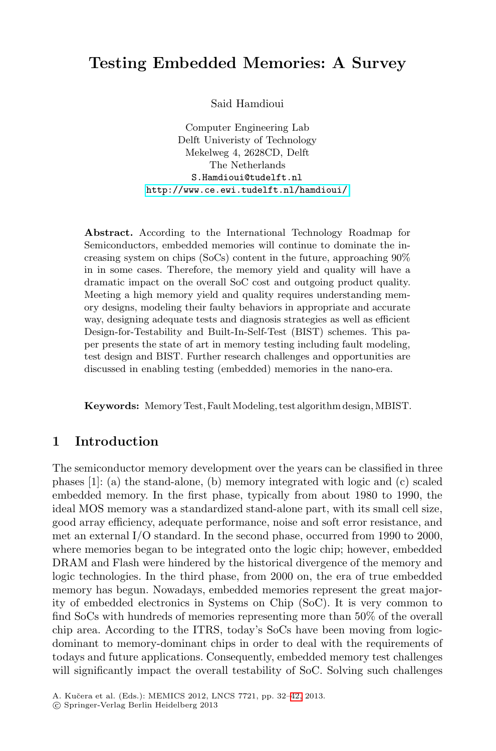# **Testing Embedded Memories: A Survey**

Said Hamdioui

Computer Engineering Lab Delft Univeristy of Technology Mekelweg 4, 2628CD, Delft The Netherlands S.Hamdioui@tudelft.nl http://www.ce.ewi.tudelft.nl/hamdioui/

**Abstract.** According to the International Technology Roadmap for Semiconductors, embedded memories will continue to dominate the increasing system on chips (SoCs) content in the future, approaching 90% in in some cases. Therefore, the memory yield and quality will have a dramatic impact on the overall SoC cost and outgoing product quality. Meeting a high memory yield and quality requires understanding memory designs, modeling their faulty behaviors in appropriate and accurate way, designing adequate tests and diagnosis strategies as well as efficient Design-for-Testability and Built-In-Self-Test (BIST) schemes. This paper presents the state of art in memory testing including fault modeling, test design and BIST. Further research challenges and opportunities are discussed in enabling testing (embedded) memories in the nano-era.

Keywords: Memory Test, Fault Modeling, test algorithm design, MBIST.

### **1 Introduction**

The semiconductor memory development over the years can be classified in three phases [1]: (a) the stand-alone, (b) memory integrated with logic and (c) scaled embedded memory. In the first phase, typically from about 1980 to 1990, the ideal MOS memory was a standardized stand-alone part, with its small cell size, good array efficiency, adequate performance, noise and soft error resistance, and met an external I/O standard. In the second phase, occurred from 1990 to 2000, where memories began to be integrated onto the logic chip; however, embedded DRAM and Flash were hindered by the historical divergence of the memory and logic technologies. In the third phase, from 2000 on, the era of true embedded memory has begun. Nowadays[, em](#page-10-0)bedded memories represent the great majority of embedded electronics in Systems on Chip (SoC). It is very common to find SoCs with hundreds of memories representing more than 50% of the overall chip area. According to the ITRS, today's SoCs have been moving from logicdominant to memory-dominant chips in order to deal with the requirements of todays and future applications. Consequently, embedded memory test challenges will significantly impact the overall testability of SoC. Solving such challenges

A. Kučera et al. (Eds.): MEMICS 2012, LNCS 7721, pp. 32-42, 2013.

-c Springer-Verlag Berlin Heidelberg 2013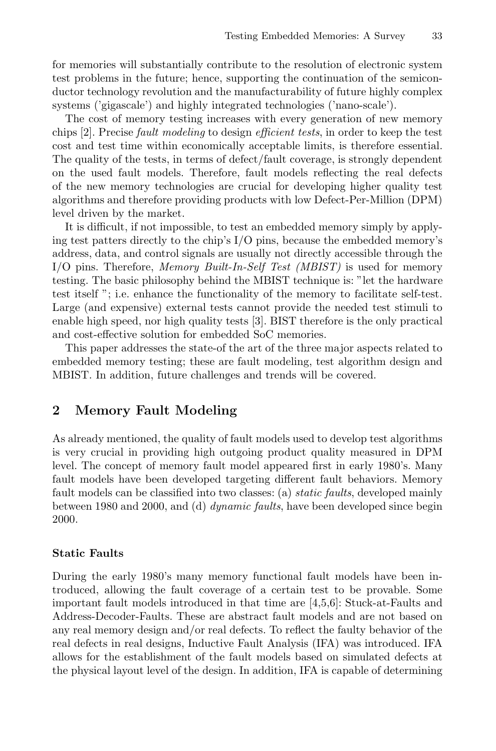for memories will substantially contribute to the resolution of electronic system test problems in the future; hence, supporting the continuation of the semiconductor technology revolution and the manufacturability of future highly complex systems ('gigascale') and highly integrated technologies ('nano-scale').

The cost of memory testing increases with every generation of new memory chips [2]. Precise *fault modeling* to design *efficient tests*, in order to keep the test cost and test time within economically acceptable limits, is therefore essential. The quality of the tests, in terms of defect/fault coverage, is strongly dependent on the used fault models. Therefore, fault models reflecting the real defects of the new memory technologies are crucial for developing higher quality test algorithms and therefore providing products with low Defect-Per-Million (DPM) level driven by the market.

It is difficult, if not impossible, to test an embedded memory simply by applying test patters directly to the chip's I/O pins, because the embedded memory's address, data, and control signals are usually not directly accessible through the I/O pins. Therefore, *Memory Built-In-Self Test (MBIST)* is used for memory testing. The basic philosophy behind the MBIST technique is: "let the hardware test itself "; i.e. enhance the functionality of the memory to facilitate self-test. Large (and expensive) external tests cannot provide the needed test stimuli to enable high speed, nor high quality tests [3]. BIST therefore is the only practical and cost-effective solution for embedded SoC memories.

This paper addresses the state-of the art of the three major aspects related to embedded memory testing; these are fault modeling, test algorithm design and MBIST. In addition, future challenges and trends will be covered.

#### **2 Memory Fault Modeling**

As already mentioned, the quality of fault models used to develop test algorithms is very crucial in providing high outgoing product quality measured in DPM level. The concept of memory fault model appeared first in early 1980's. Many fault models have been developed targeting different fault behaviors. Memory fault models can be classified into two classes: (a) *static faults*, developed mainly between 1980 and 2000, and (d) *dynamic faults*, have been developed since begin 2000.

#### **Static Faults**

During the early 1980's many memory functional fault models have been introduced, allowing the fault coverage of a certain test to be provable. Some important fault models introduced in that time are [4,5,6]: Stuck-at-Faults and Address-Decoder-Faults. These are abstract fault models and are not based on any real memory design and/or real defects. To reflect the faulty behavior of the real defects in real designs, Inductive Fault Analysis (IFA) was introduced. IFA allows for the establishment of the fault models based on simulated defects at the physical layout level of the design. In addition, IFA is capable of determining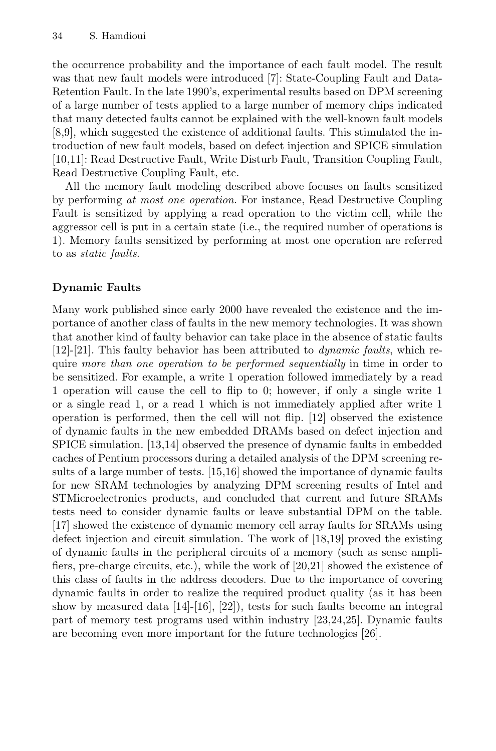the occurrence probability and the importance of each fault model. The result was that new fault models were introduced [7]: State-Coupling Fault and Data-Retention Fault. In the late 1990's, experimental results based on DPM screening of a large number of tests applied to a large number of memory chips indicated that many detected faults cannot be explained with the well-known fault models [8,9], which suggested the existence of additional faults. This stimulated the introduction of new fault models, based on defect injection and SPICE simulation [10,11]: Read Destructive Fault, Write Disturb Fault, Transition Coupling Fault, Read Destructive Coupling Fault, etc.

All the memory fault modeling described above focuses on faults sensitized by performing *at most one operation*. For instance, Read Destructive Coupling Fault is sensitized by applying a read operation to the victim cell, while the aggressor cell is put in a certain state (i.e., the required number of operations is 1). Memory faults sensitized by performing at most one operation are referred to as *static faults*.

### **Dynamic Faults**

Many work published since early 2000 have revealed the existence and the importance of another class of faults in the new memory technologies. It was shown that another kind of faulty behavior can take place in the absence of static faults [12]-[21]. This faulty behavior has been attributed to *dynamic faults*, which require *more than one operation to be performed sequentially* in time in order to be sensitized. For example, a write 1 operation followed immediately by a read 1 operation will cause the cell to flip to 0; however, if only a single write 1 or a single read 1, or a read 1 which is not immediately applied after write 1 operation is performed, then the cell will not flip. [12] observed the existence of dynamic faults in the new embedded DRAMs based on defect injection and SPICE simulation. [13,14] observed the presence of dynamic faults in embedded caches of Pentium processors during a detailed analysis of the DPM screening results of a large number of tests. [15,16] showed the importance of dynamic faults for new SRAM technologies by analyzing DPM screening results of Intel and STMicroelectronics products, and concluded that current and future SRAMs tests need to consider dynamic faults or leave substantial DPM on the table. [17] showed the existence of dynamic memory cell array faults for SRAMs using defect injection and circuit simulation. The work of [18,19] proved the existing of dynamic faults in the peripheral circuits of a memory (such as sense amplifiers, pre-charge circuits, etc.), while the work of [20,21] showed the existence of this class of faults in the address decoders. Due to the importance of covering dynamic faults in order to realize the required product quality (as it has been show by measured data  $[14]-[16], [22]$ , tests for such faults become an integral part of memory test programs used within industry [23,24,25]. Dynamic faults are becoming even more important for the future technologies [26].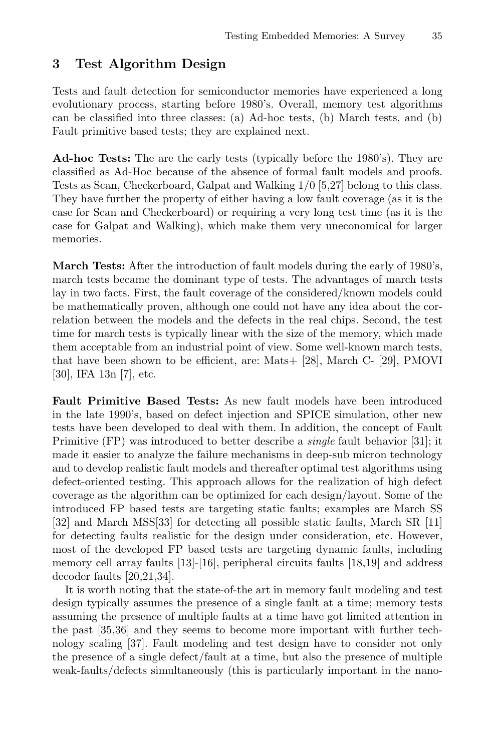### **3 Test Algorithm Design**

Tests and fault detection for semiconductor memories have experienced a long evolutionary process, starting before 1980's. Overall, memory test algorithms can be classified into three classes: (a) Ad-hoc tests, (b) March tests, and (b) Fault primitive based tests; they are explained next.

**Ad-hoc Tests:** The are the early tests (typically before the 1980's). They are classified as Ad-Hoc because of the absence of formal fault models and proofs. Tests as Scan, Checkerboard, Galpat and Walking 1/0 [5,27] belong to this class. They have further the property of either having a low fault coverage (as it is the case for Scan and Checkerboard) or requiring a very long test time (as it is the case for Galpat and Walking), which make them very uneconomical for larger memories.

**March Tests:** After the introduction of fault models during the early of 1980's, march tests became the dominant type of tests. The advantages of march tests lay in two facts. First, the fault coverage of the considered/known models could be mathematically proven, although one could not have any idea about the correlation between the models and the defects in the real chips. Second, the test time for march tests is typically linear with the size of the memory, which made them acceptable from an industrial point of view. Some well-known march tests, that have been shown to be efficient, are: Mats+ [28], March C- [29], PMOVI [30], IFA 13n [7], etc.

**Fault Primitive Based Tests:** As new fault models have been introduced in the late 1990's, based on defect injection and SPICE simulation, other new tests have been developed to deal with them. In addition, the concept of Fault Primitive (FP) was introduced to better describe a *single* fault behavior [31]; it made it easier to analyze the failure mechanisms in deep-sub micron technology and to develop realistic fault models and thereafter optimal test algorithms using defect-oriented testing. This approach allows for the realization of high defect coverage as the algorithm can be optimized for each design/layout. Some of the introduced FP based tests are targeting static faults; examples are March SS [32] and March MSS[33] for detecting all possible static faults, March SR [11] for detecting faults realistic for the design under consideration, etc. However, most of the developed FP based tests are targeting dynamic faults, including memory cell array faults [13]-[16], peripheral circuits faults [18,19] and address decoder faults [20,21,34].

It is worth noting that the state-of-the art in memory fault modeling and test design typically assumes the presence of a single fault at a time; memory tests assuming the presence of multiple faults at a time have got limited attention in the past [35,36] and they seems to become more important with further technology scaling [37]. Fault modeling and test design have to consider not only the presence of a single defect/fault at a time, but also the presence of multiple weak-faults/defects simultaneously (this is particularly important in the nano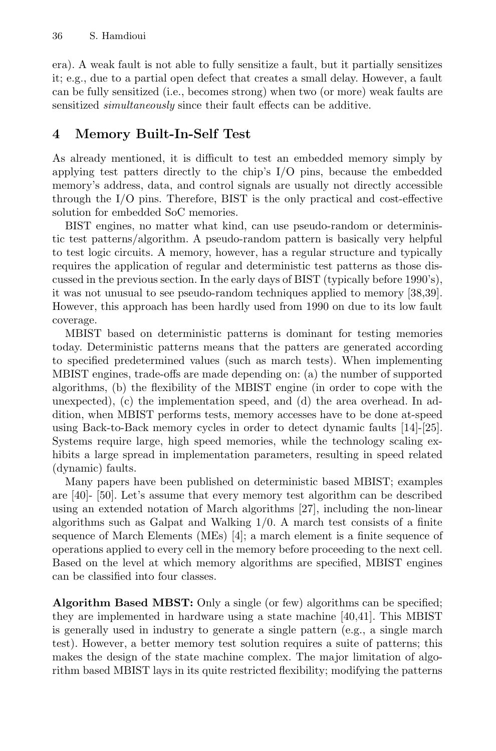era). A weak fault is not able to fully sensitize a fault, but it partially sensitizes it; e.g., due to a partial open defect that creates a small delay. However, a fault can be fully sensitized (i.e., becomes strong) when two (or more) weak faults are sensitized *simultaneously* since their fault effects can be additive.

## **4 Memory Built-In-Self Test**

As already mentioned, it is difficult to test an embedded memory simply by applying test patters directly to the chip's I/O pins, because the embedded memory's address, data, and control signals are usually not directly accessible through the I/O pins. Therefore, BIST is the only practical and cost-effective solution for embedded SoC memories.

BIST engines, no matter what kind, can use pseudo-random or deterministic test patterns/algorithm. A pseudo-random pattern is basically very helpful to test logic circuits. A memory, however, has a regular structure and typically requires the application of regular and deterministic test patterns as those discussed in the previous section. In the early days of BIST (typically before 1990's), it was not unusual to see pseudo-random techniques applied to memory [38,39]. However, this approach has been hardly used from 1990 on due to its low fault coverage.

MBIST based on deterministic patterns is dominant for testing memories today. Deterministic patterns means that the patters are generated according to specified predetermined values (such as march tests). When implementing MBIST engines, trade-offs are made depending on: (a) the number of supported algorithms, (b) the flexibility of the MBIST engine (in order to cope with the unexpected), (c) the implementation speed, and (d) the area overhead. In addition, when MBIST performs tests, memory accesses have to be done at-speed using Back-to-Back memory cycles in order to detect dynamic faults [14]-[25]. Systems require large, high speed memories, while the technology scaling exhibits a large spread in implementation parameters, resulting in speed related (dynamic) faults.

Many papers have been published on deterministic based MBIST; examples are [40]- [50]. Let's assume that every memory test algorithm can be described using an extended notation of March algorithms [27], including the non-linear algorithms such as Galpat and Walking 1/0. A march test consists of a finite sequence of March Elements (MEs) [4]; a march element is a finite sequence of operations applied to every cell in the memory before proceeding to the next cell. Based on the level at which memory algorithms are specified, MBIST engines can be classified into four classes.

**Algorithm Based MBST:** Only a single (or few) algorithms can be specified; they are implemented in hardware using a state machine [40,41]. This MBIST is generally used in industry to generate a single pattern (e.g., a single march test). However, a better memory test solution requires a suite of patterns; this makes the design of the state machine complex. The major limitation of algorithm based MBIST lays in its quite restricted flexibility; modifying the patterns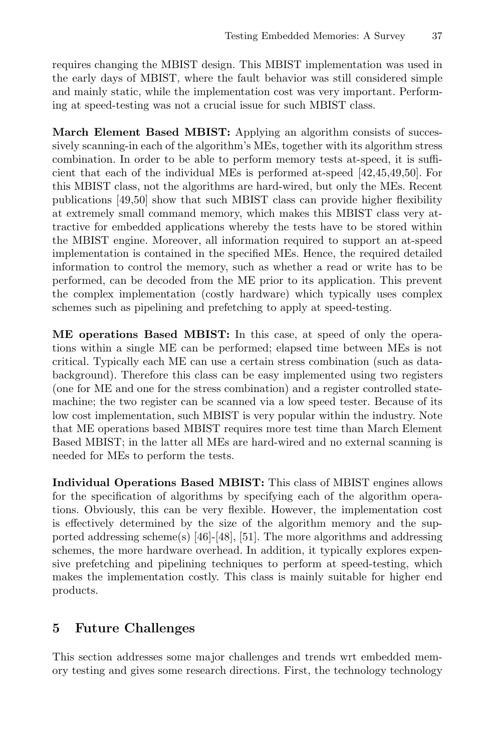requires changing the MBIST design. This MBIST implementation was used in the early days of MBIST, where the fault behavior was still considered simple and mainly static, while the implementation cost was very important. Performing at speed-testing was not a crucial issue for such MBIST class.

**March Element Based MBIST:** Applying an algorithm consists of successively scanning-in each of the algorithm's MEs, together with its algorithm stress combination. In order to be able to perform memory tests at-speed, it is sufficient that each of the individual MEs is performed at-speed [42,45,49,50]. For this MBIST class, not the algorithms are hard-wired, but only the MEs. Recent publications [49,50] show that such MBIST class can provide higher flexibility at extremely small command memory, which makes this MBIST class very attractive for embedded applications whereby the tests have to be stored within the MBIST engine. Moreover, all information required to support an at-speed implementation is contained in the specified MEs. Hence, the required detailed information to control the memory, such as whether a read or write has to be performed, can be decoded from the ME prior to its application. This prevent the complex implementation (costly hardware) which typically uses complex schemes such as pipelining and prefetching to apply at speed-testing.

**ME operations Based MBIST:** In this case, at speed of only the operations within a single ME can be performed; elapsed time between MEs is not critical. Typically each ME can use a certain stress combination (such as databackground). Therefore this class can be easy implemented using two registers (one for ME and one for the stress combination) and a register controlled statemachine; the two register can be scanned via a low speed tester. Because of its low cost implementation, such MBIST is very popular within the industry. Note that ME operations based MBIST requires more test time than March Element Based MBIST; in the latter all MEs are hard-wired and no external scanning is needed for MEs to perform the tests.

**Individual Operations Based MBIST:** This class of MBIST engines allows for the specification of algorithms by specifying each of the algorithm operations. Obviously, this can be very flexible. However, the implementation cost is effectively determined by the size of the algorithm memory and the supported addressing scheme(s)  $|46|$ -[48], [51]. The more algorithms and addressing schemes, the more hardware overhead. In addition, it typically explores expensive prefetching and pipelining techniques to perform at speed-testing, which makes the implementation costly. This class is mainly suitable for higher end products.

#### **5 Future Challenges**

This section addresses some major challenges and trends wrt embedded memory testing and gives some research directions. First, the technology technology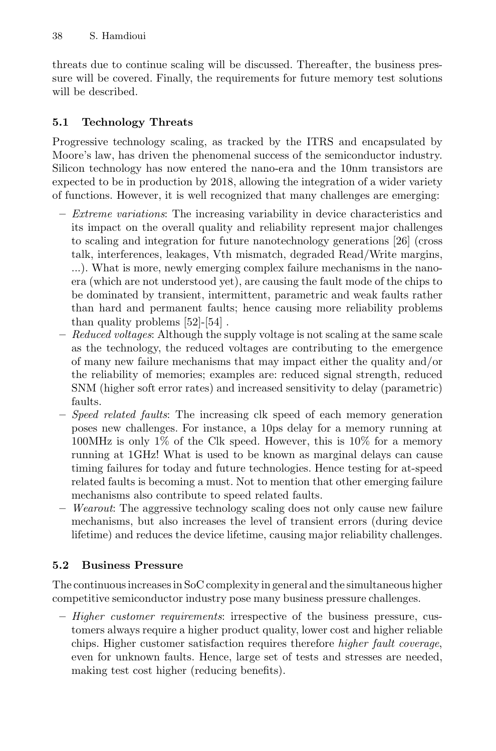threats due to continue scaling will be discussed. Thereafter, the business pressure will be covered. Finally, the requirements for future memory test solutions will be described.

### **5.1 Technology Threats**

Progressive technology scaling, as tracked by the ITRS and encapsulated by Moore's law, has driven the phenomenal success of the semiconductor industry. Silicon technology has now entered the nano-era and the 10nm transistors are expected to be in production by 2018, allowing the integration of a wider variety of functions. However, it is well recognized that many challenges are emerging:

- **–** *Extreme variations*: The increasing variability in device characteristics and its impact on the overall quality and reliability represent major challenges to scaling and integration for future nanotechnology generations [26] (cross talk, interferences, leakages, Vth mismatch, degraded Read/Write margins, ...). What is more, newly emerging complex failure mechanisms in the nanoera (which are not understood yet), are causing the fault mode of the chips to be dominated by transient, intermittent, parametric and weak faults rather than hard and permanent faults; hence causing more reliability problems than quality problems [52]-[54] .
- **–** *Reduced voltages*: Although the supply voltage is not scaling at the same scale as the technology, the reduced voltages are contributing to the emergence of many new failure mechanisms that may impact either the quality and/or the reliability of memories; examples are: reduced signal strength, reduced SNM (higher soft error rates) and increased sensitivity to delay (parametric) faults.
- **–** *Speed related faults*: The increasing clk speed of each memory generation poses new challenges. For instance, a 10ps delay for a memory running at 100MHz is only 1% of the Clk speed. However, this is 10% for a memory running at 1GHz! What is used to be known as marginal delays can cause timing failures for today and future technologies. Hence testing for at-speed related faults is becoming a must. Not to mention that other emerging failure mechanisms also contribute to speed related faults.
- **–** *Wearout*: The aggressive technology scaling does not only cause new failure mechanisms, but also increases the level of transient errors (during device lifetime) and reduces the device lifetime, causing major reliability challenges.

## **5.2 Business Pressure**

The continuous increases in SoC complexity in general and the simultaneous higher competitive semiconductor industry pose many business pressure challenges.

**–** *Higher customer requirements*: irrespective of the business pressure, customers always require a higher product quality, lower cost and higher reliable chips. Higher customer satisfaction requires therefore *higher fault coverage*, even for unknown faults. Hence, large set of tests and stresses are needed, making test cost higher (reducing benefits).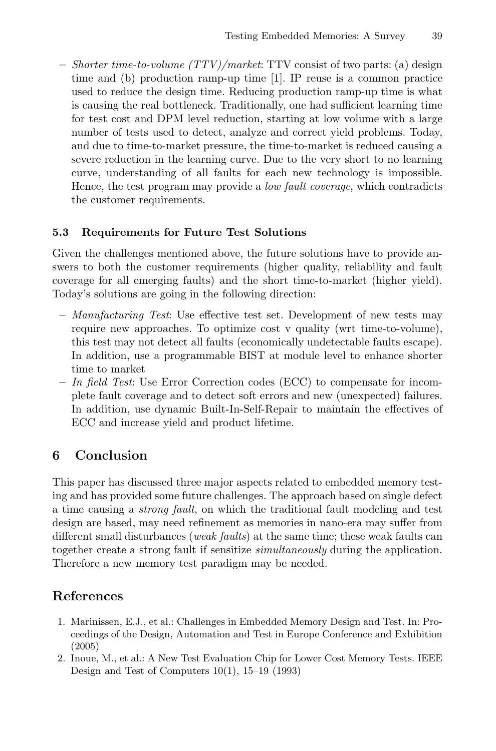**–** *Shorter time-to-volume (TTV)/market*: TTV consist of two parts: (a) design time and (b) production ramp-up time [1]. IP reuse is a common practice used to reduce the design time. Reducing production ramp-up time is what is causing the real bottleneck. Traditionally, one had sufficient learning time for test cost and DPM level reduction, starting at low volume with a large number of tests used to detect, analyze and correct yield problems. Today, and due to time-to-market pressure, the time-to-market is reduced causing a severe reduction in the learning curve. Due to the very short to no learning curve, understanding of all faults for each new technology is impossible. Hence, the test program may provide a *low fault coverage*, which contradicts the customer requirements.

#### **5.3 Requirements for Future Test Solutions**

Given the challenges mentioned above, the future solutions have to provide answers to both the customer requirements (higher quality, reliability and fault coverage for all emerging faults) and the short time-to-market (higher yield). Today's solutions are going in the following direction:

- **–** *Manufacturing Test*: Use effective test set. Development of new tests may require new approaches. To optimize cost v quality (wrt time-to-volume), this test may not detect all faults (economically undetectable faults escape). In addition, use a programmable BIST at module level to enhance shorter time to market
- **–** *In field Test*: Use Error Correction codes (ECC) to compensate for incomplete fault coverage and to detect soft errors and new (unexpected) failures. In addition, use dynamic Built-In-Self-Repair to maintain the effectives of ECC and increase yield and product lifetime.

#### **6 Conclusion**

This paper has discussed three major aspects related to embedded memory testing and has provided some future challenges. The approach based on single defect a time causing a *strong fault*, on which the traditional fault modeling and test design are based, may need refinement as memories in nano-era may suffer from different small disturbances (*weak faults*) at the same time; these weak faults can together create a strong fault if sensitize *simultaneously* during the application. Therefore a new memory test paradigm may be needed.

#### **References**

- 1. Marinissen, E.J., et al.: Challenges in Embedded Memory Design and Test. In: Proceedings of the Design, Automation and Test in Europe Conference and Exhibition (2005)
- 2. Inoue, M., et al.: A New Test Evaluation Chip for Lower Cost Memory Tests. IEEE Design and Test of Computers 10(1), 15–19 (1993)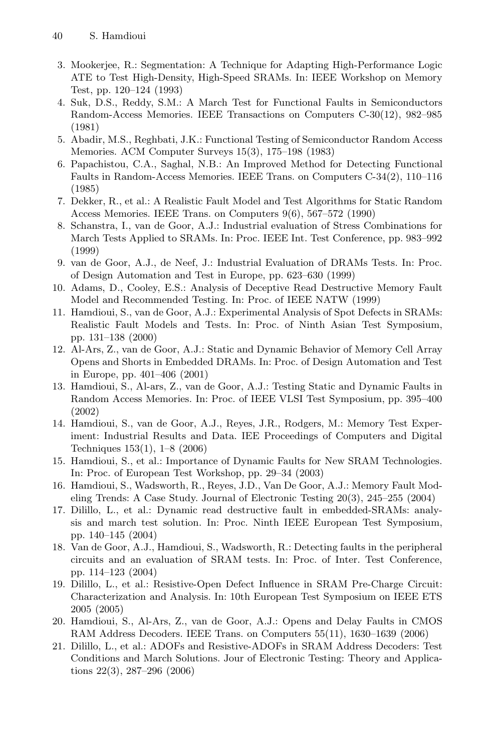- 3. Mookerjee, R.: Segmentation: A Technique for Adapting High-Performance Logic ATE to Test High-Density, High-Speed SRAMs. In: IEEE Workshop on Memory Test, pp. 120–124 (1993)
- 4. Suk, D.S., Reddy, S.M.: A March Test for Functional Faults in Semiconductors Random-Access Memories. IEEE Transactions on Computers C-30(12), 982–985 (1981)
- 5. Abadir, M.S., Reghbati, J.K.: Functional Testing of Semiconductor Random Access Memories. ACM Computer Surveys 15(3), 175–198 (1983)
- 6. Papachistou, C.A., Saghal, N.B.: An Improved Method for Detecting Functional Faults in Random-Access Memories. IEEE Trans. on Computers C-34(2), 110–116 (1985)
- 7. Dekker, R., et al.: A Realistic Fault Model and Test Algorithms for Static Random Access Memories. IEEE Trans. on Computers 9(6), 567–572 (1990)
- 8. Schanstra, I., van de Goor, A.J.: Industrial evaluation of Stress Combinations for March Tests Applied to SRAMs. In: Proc. IEEE Int. Test Conference, pp. 983–992 (1999)
- 9. van de Goor, A.J., de Neef, J.: Industrial Evaluation of DRAMs Tests. In: Proc. of Design Automation and Test in Europe, pp. 623–630 (1999)
- 10. Adams, D., Cooley, E.S.: Analysis of Deceptive Read Destructive Memory Fault Model and Recommended Testing. In: Proc. of IEEE NATW (1999)
- 11. Hamdioui, S., van de Goor, A.J.: Experimental Analysis of Spot Defects in SRAMs: Realistic Fault Models and Tests. In: Proc. of Ninth Asian Test Symposium, pp. 131–138 (2000)
- 12. Al-Ars, Z., van de Goor, A.J.: Static and Dynamic Behavior of Memory Cell Array Opens and Shorts in Embedded DRAMs. In: Proc. of Design Automation and Test in Europe, pp. 401–406 (2001)
- 13. Hamdioui, S., Al-ars, Z., van de Goor, A.J.: Testing Static and Dynamic Faults in Random Access Memories. In: Proc. of IEEE VLSI Test Symposium, pp. 395–400 (2002)
- 14. Hamdioui, S., van de Goor, A.J., Reyes, J.R., Rodgers, M.: Memory Test Experiment: Industrial Results and Data. IEE Proceedings of Computers and Digital Techniques 153(1), 1–8 (2006)
- 15. Hamdioui, S., et al.: Importance of Dynamic Faults for New SRAM Technologies. In: Proc. of European Test Workshop, pp. 29–34 (2003)
- 16. Hamdioui, S., Wadsworth, R., Reyes, J.D., Van De Goor, A.J.: Memory Fault Modeling Trends: A Case Study. Journal of Electronic Testing 20(3), 245–255 (2004)
- 17. Dilillo, L., et al.: Dynamic read destructive fault in embedded-SRAMs: analysis and march test solution. In: Proc. Ninth IEEE European Test Symposium, pp. 140–145 (2004)
- 18. Van de Goor, A.J., Hamdioui, S., Wadsworth, R.: Detecting faults in the peripheral circuits and an evaluation of SRAM tests. In: Proc. of Inter. Test Conference, pp. 114–123 (2004)
- 19. Dilillo, L., et al.: Resistive-Open Defect Influence in SRAM Pre-Charge Circuit: Characterization and Analysis. In: 10th European Test Symposium on IEEE ETS 2005 (2005)
- 20. Hamdioui, S., Al-Ars, Z., van de Goor, A.J.: Opens and Delay Faults in CMOS RAM Address Decoders. IEEE Trans. on Computers 55(11), 1630–1639 (2006)
- 21. Dilillo, L., et al.: ADOFs and Resistive-ADOFs in SRAM Address Decoders: Test Conditions and March Solutions. Jour of Electronic Testing: Theory and Applications 22(3), 287–296 (2006)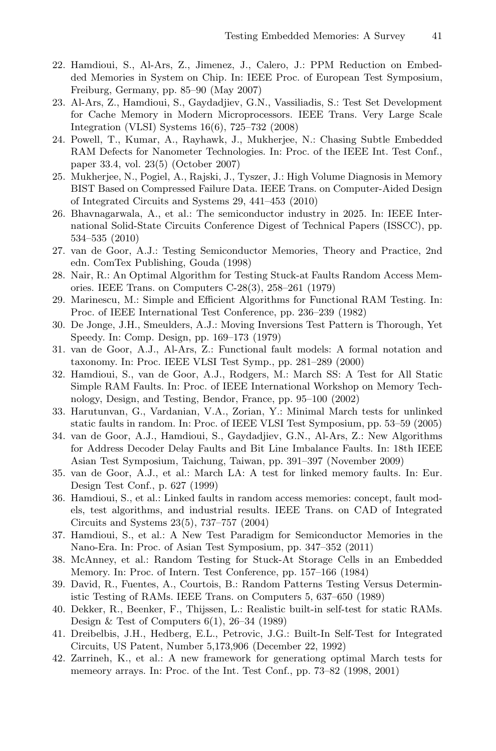- 22. Hamdioui, S., Al-Ars, Z., Jimenez, J., Calero, J.: PPM Reduction on Embedded Memories in System on Chip. In: IEEE Proc. of European Test Symposium, Freiburg, Germany, pp. 85–90 (May 2007)
- 23. Al-Ars, Z., Hamdioui, S., Gaydadjiev, G.N., Vassiliadis, S.: Test Set Development for Cache Memory in Modern Microprocessors. IEEE Trans. Very Large Scale Integration (VLSI) Systems 16(6), 725–732 (2008)
- 24. Powell, T., Kumar, A., Rayhawk, J., Mukherjee, N.: Chasing Subtle Embedded RAM Defects for Nanometer Technologies. In: Proc. of the IEEE Int. Test Conf., paper 33.4, vol. 23(5) (October 2007)
- 25. Mukherjee, N., Pogiel, A., Rajski, J., Tyszer, J.: High Volume Diagnosis in Memory BIST Based on Compressed Failure Data. IEEE Trans. on Computer-Aided Design of Integrated Circuits and Systems 29, 441–453 (2010)
- 26. Bhavnagarwala, A., et al.: The semiconductor industry in 2025. In: IEEE International Solid-State Circuits Conference Digest of Technical Papers (ISSCC), pp. 534–535 (2010)
- 27. van de Goor, A.J.: Testing Semiconductor Memories, Theory and Practice, 2nd edn. ComTex Publishing, Gouda (1998)
- 28. Nair, R.: An Optimal Algorithm for Testing Stuck-at Faults Random Access Memories. IEEE Trans. on Computers C-28(3), 258–261 (1979)
- 29. Marinescu, M.: Simple and Efficient Algorithms for Functional RAM Testing. In: Proc. of IEEE International Test Conference, pp. 236–239 (1982)
- 30. De Jonge, J.H., Smeulders, A.J.: Moving Inversions Test Pattern is Thorough, Yet Speedy. In: Comp. Design, pp. 169–173 (1979)
- 31. van de Goor, A.J., Al-Ars, Z.: Functional fault models: A formal notation and taxonomy. In: Proc. IEEE VLSI Test Symp., pp. 281–289 (2000)
- 32. Hamdioui, S., van de Goor, A.J., Rodgers, M.: March SS: A Test for All Static Simple RAM Faults. In: Proc. of IEEE International Workshop on Memory Technology, Design, and Testing, Bendor, France, pp. 95–100 (2002)
- 33. Harutunvan, G., Vardanian, V.A., Zorian, Y.: Minimal March tests for unlinked static faults in random. In: Proc. of IEEE VLSI Test Symposium, pp. 53–59 (2005)
- 34. van de Goor, A.J., Hamdioui, S., Gaydadjiev, G.N., Al-Ars, Z.: New Algorithms for Address Decoder Delay Faults and Bit Line Imbalance Faults. In: 18th IEEE Asian Test Symposium, Taichung, Taiwan, pp. 391–397 (November 2009)
- 35. van de Goor, A.J., et al.: March LA: A test for linked memory faults. In: Eur. Design Test Conf., p. 627 (1999)
- 36. Hamdioui, S., et al.: Linked faults in random access memories: concept, fault models, test algorithms, and industrial results. IEEE Trans. on CAD of Integrated Circuits and Systems 23(5), 737–757 (2004)
- 37. Hamdioui, S., et al.: A New Test Paradigm for Semiconductor Memories in the Nano-Era. In: Proc. of Asian Test Symposium, pp. 347–352 (2011)
- 38. McAnney, et al.: Random Testing for Stuck-At Storage Cells in an Embedded Memory. In: Proc. of Intern. Test Conference, pp. 157–166 (1984)
- 39. David, R., Fuentes, A., Courtois, B.: Random Patterns Testing Versus Deterministic Testing of RAMs. IEEE Trans. on Computers 5, 637–650 (1989)
- 40. Dekker, R., Beenker, F., Thijssen, L.: Realistic built-in self-test for static RAMs. Design & Test of Computers  $6(1)$ , 26–34 (1989)
- 41. Dreibelbis, J.H., Hedberg, E.L., Petrovic, J.G.: Built-In Self-Test for Integrated Circuits, US Patent, Number 5,173,906 (December 22, 1992)
- 42. Zarrineh, K., et al.: A new framework for generationg optimal March tests for memeory arrays. In: Proc. of the Int. Test Conf., pp. 73–82 (1998, 2001)